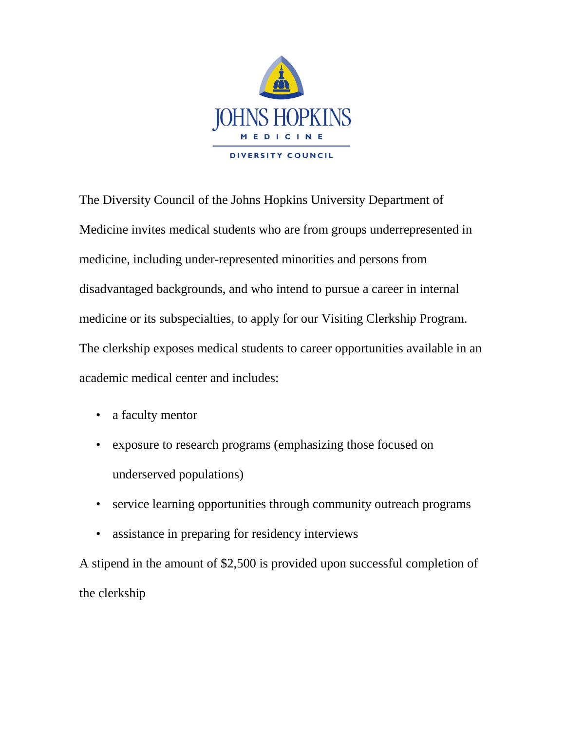

The Diversity Council of the Johns Hopkins University Department of Medicine invites medical students who are from groups underrepresented in medicine, including under-represented minorities and persons from disadvantaged backgrounds, and who intend to pursue a career in internal medicine or its subspecialties, to apply for our Visiting Clerkship Program. The clerkship exposes medical students to career opportunities available in an academic medical center and includes:

- a faculty mentor
- exposure to research programs (emphasizing those focused on underserved populations)
- service learning opportunities through community outreach programs
- assistance in preparing for residency interviews

A stipend in the amount of \$2,500 is provided upon successful completion of the clerkship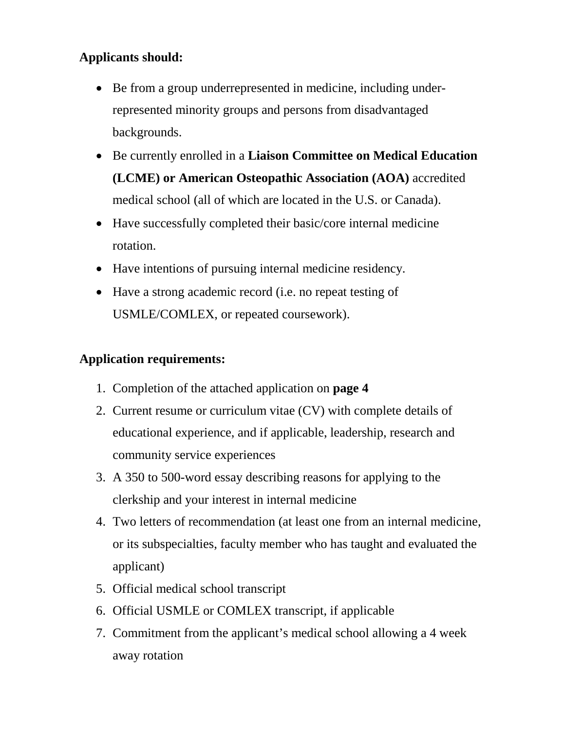# **Applicants should:**

- Be from a group underrepresented in medicine, including underrepresented minority groups and persons from disadvantaged backgrounds.
- Be currently enrolled in a **Liaison Committee on Medical Education (LCME) or American Osteopathic Association (AOA)** accredited medical school (all of which are located in the U.S. or Canada).
- Have successfully completed their basic/core internal medicine rotation.
- Have intentions of pursuing internal medicine residency.
- Have a strong academic record (i.e. no repeat testing of USMLE/COMLEX, or repeated coursework).

### **Application requirements:**

- 1. Completion of the attached application on **page 4**
- 2. Current resume or curriculum vitae (CV) with complete details of educational experience, and if applicable, leadership, research and community service experiences
- 3. A 350 to 500-word essay describing reasons for applying to the clerkship and your interest in internal medicine
- 4. Two letters of recommendation (at least one from an internal medicine, or its subspecialties, faculty member who has taught and evaluated the applicant)
- 5. Official medical school transcript
- 6. Official USMLE or COMLEX transcript, if applicable
- 7. Commitment from the applicant's medical school allowing a 4 week away rotation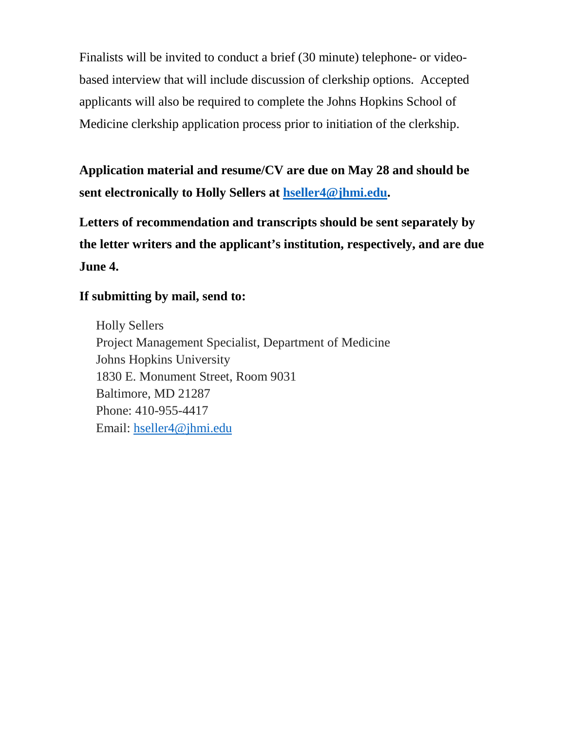Finalists will be invited to conduct a brief (30 minute) telephone- or videobased interview that will include discussion of clerkship options. Accepted applicants will also be required to complete the Johns Hopkins School of Medicine clerkship application process prior to initiation of the clerkship.

**Application material and resume/CV are due on May 28 and should be sent electronically to Holly Sellers at [hseller4@jhmi.edu.](mailto:hseller4@jhmi.edu)**

**Letters of recommendation and transcripts should be sent separately by the letter writers and the applicant's institution, respectively, and are due June 4.** 

#### **If submitting by mail, send to:**

Holly Sellers Project Management Specialist, Department of Medicine Johns Hopkins University 1830 E. Monument Street, Room 9031 Baltimore, MD 21287 Phone: 410-955-4417 Email: [hseller4@jhmi.edu](mailto:hseller4@jhmi.edu)